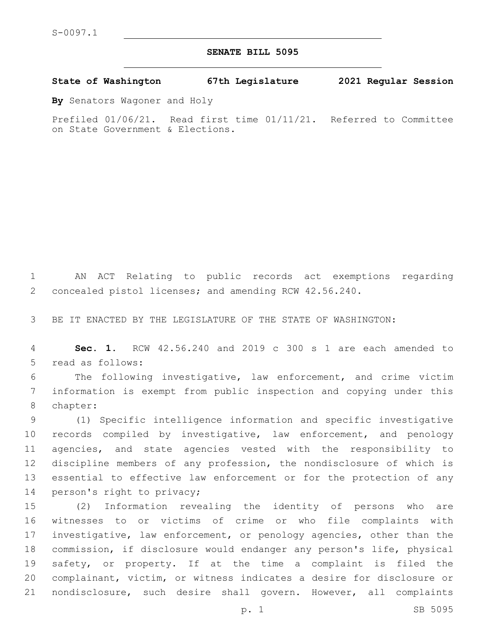## **SENATE BILL 5095**

**State of Washington 67th Legislature 2021 Regular Session**

**By** Senators Wagoner and Holy

Prefiled 01/06/21. Read first time 01/11/21. Referred to Committee on State Government & Elections.

 AN ACT Relating to public records act exemptions regarding concealed pistol licenses; and amending RCW 42.56.240.

BE IT ENACTED BY THE LEGISLATURE OF THE STATE OF WASHINGTON:

 **Sec. 1.** RCW 42.56.240 and 2019 c 300 s 1 are each amended to 5 read as follows:

 The following investigative, law enforcement, and crime victim information is exempt from public inspection and copying under this 8 chapter:

 (1) Specific intelligence information and specific investigative records compiled by investigative, law enforcement, and penology agencies, and state agencies vested with the responsibility to discipline members of any profession, the nondisclosure of which is essential to effective law enforcement or for the protection of any 14 person's right to privacy;

 (2) Information revealing the identity of persons who are witnesses to or victims of crime or who file complaints with investigative, law enforcement, or penology agencies, other than the commission, if disclosure would endanger any person's life, physical safety, or property. If at the time a complaint is filed the complainant, victim, or witness indicates a desire for disclosure or nondisclosure, such desire shall govern. However, all complaints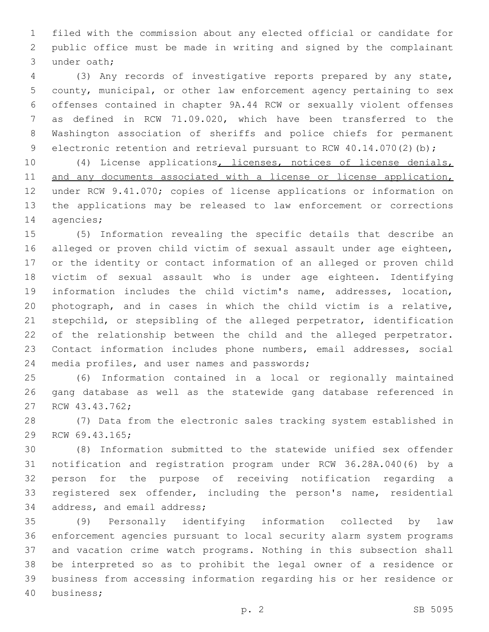filed with the commission about any elected official or candidate for public office must be made in writing and signed by the complainant 3 under oath;

 (3) Any records of investigative reports prepared by any state, county, municipal, or other law enforcement agency pertaining to sex offenses contained in chapter 9A.44 RCW or sexually violent offenses as defined in RCW 71.09.020, which have been transferred to the Washington association of sheriffs and police chiefs for permanent 9 electronic retention and retrieval pursuant to RCW 40.14.070(2)(b);

 (4) License applications, licenses, notices of license denials, 11 and any documents associated with a license or license application, under RCW 9.41.070; copies of license applications or information on the applications may be released to law enforcement or corrections 14 agencies;

 (5) Information revealing the specific details that describe an alleged or proven child victim of sexual assault under age eighteen, or the identity or contact information of an alleged or proven child victim of sexual assault who is under age eighteen. Identifying information includes the child victim's name, addresses, location, photograph, and in cases in which the child victim is a relative, stepchild, or stepsibling of the alleged perpetrator, identification of the relationship between the child and the alleged perpetrator. Contact information includes phone numbers, email addresses, social 24 media profiles, and user names and passwords;

 (6) Information contained in a local or regionally maintained gang database as well as the statewide gang database referenced in 27 RCW 43.43.762;

 (7) Data from the electronic sales tracking system established in 29 RCW 69.43.165;

 (8) Information submitted to the statewide unified sex offender notification and registration program under RCW 36.28A.040(6) by a person for the purpose of receiving notification regarding a registered sex offender, including the person's name, residential 34 address, and email address;

 (9) Personally identifying information collected by law enforcement agencies pursuant to local security alarm system programs and vacation crime watch programs. Nothing in this subsection shall be interpreted so as to prohibit the legal owner of a residence or business from accessing information regarding his or her residence or 40 business;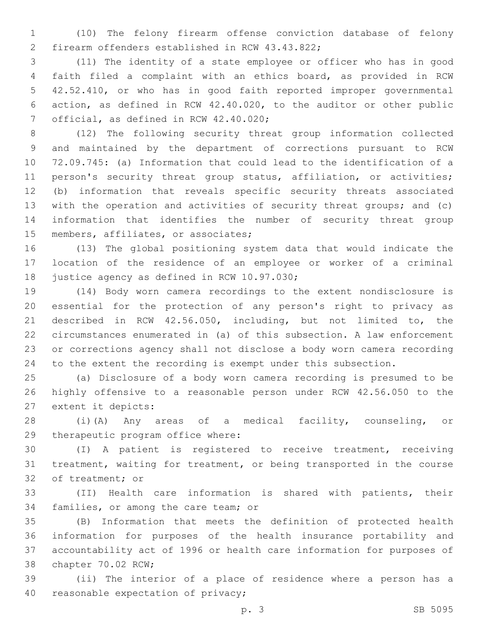(10) The felony firearm offense conviction database of felony 2 firearm offenders established in RCW 43.43.822;

 (11) The identity of a state employee or officer who has in good faith filed a complaint with an ethics board, as provided in RCW 42.52.410, or who has in good faith reported improper governmental action, as defined in RCW 42.40.020, to the auditor or other public 7 official, as defined in RCW 42.40.020;

 (12) The following security threat group information collected and maintained by the department of corrections pursuant to RCW 72.09.745: (a) Information that could lead to the identification of a 11 person's security threat group status, affiliation, or activities; (b) information that reveals specific security threats associated with the operation and activities of security threat groups; and (c) information that identifies the number of security threat group 15 members, affiliates, or associates;

 (13) The global positioning system data that would indicate the location of the residence of an employee or worker of a criminal 18 justice agency as defined in RCW 10.97.030;

 (14) Body worn camera recordings to the extent nondisclosure is essential for the protection of any person's right to privacy as described in RCW 42.56.050, including, but not limited to, the circumstances enumerated in (a) of this subsection. A law enforcement or corrections agency shall not disclose a body worn camera recording to the extent the recording is exempt under this subsection.

 (a) Disclosure of a body worn camera recording is presumed to be highly offensive to a reasonable person under RCW 42.56.050 to the 27 extent it depicts:

 (i)(A) Any areas of a medical facility, counseling, or 29 therapeutic program office where:

 (I) A patient is registered to receive treatment, receiving treatment, waiting for treatment, or being transported in the course 32 of treatment; or

 (II) Health care information is shared with patients, their 34 families, or among the care team; or

 (B) Information that meets the definition of protected health information for purposes of the health insurance portability and accountability act of 1996 or health care information for purposes of 38 chapter 70.02 RCW;

 (ii) The interior of a place of residence where a person has a 40 reasonable expectation of privacy;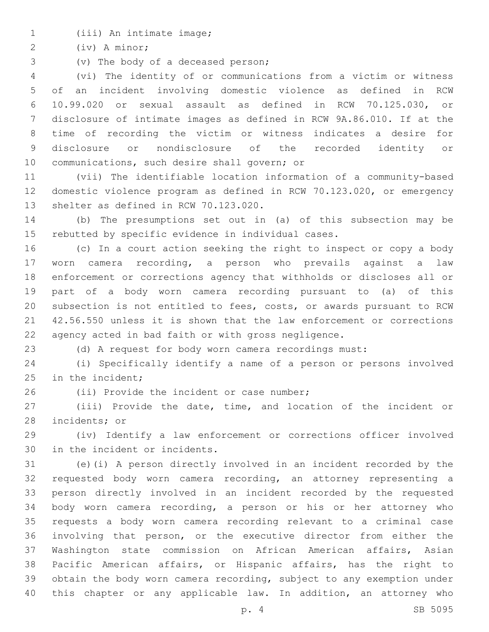1 (iii) An intimate image;

(iv) A minor;2

3 (v) The body of a deceased person;

 (vi) The identity of or communications from a victim or witness of an incident involving domestic violence as defined in RCW 10.99.020 or sexual assault as defined in RCW 70.125.030, or disclosure of intimate images as defined in RCW 9A.86.010. If at the time of recording the victim or witness indicates a desire for disclosure or nondisclosure of the recorded identity or 10 communications, such desire shall govern; or

 (vii) The identifiable location information of a community-based domestic violence program as defined in RCW 70.123.020, or emergency 13 shelter as defined in RCW 70.123.020.

 (b) The presumptions set out in (a) of this subsection may be rebutted by specific evidence in individual cases.

 (c) In a court action seeking the right to inspect or copy a body worn camera recording, a person who prevails against a law enforcement or corrections agency that withholds or discloses all or part of a body worn camera recording pursuant to (a) of this subsection is not entitled to fees, costs, or awards pursuant to RCW 42.56.550 unless it is shown that the law enforcement or corrections agency acted in bad faith or with gross negligence.

(d) A request for body worn camera recordings must:

 (i) Specifically identify a name of a person or persons involved in the incident;

26 (ii) Provide the incident or case number;

 (iii) Provide the date, time, and location of the incident or 28 incidents; or

 (iv) Identify a law enforcement or corrections officer involved 30 in the incident or incidents.

 (e)(i) A person directly involved in an incident recorded by the requested body worn camera recording, an attorney representing a person directly involved in an incident recorded by the requested body worn camera recording, a person or his or her attorney who requests a body worn camera recording relevant to a criminal case involving that person, or the executive director from either the Washington state commission on African American affairs, Asian Pacific American affairs, or Hispanic affairs, has the right to obtain the body worn camera recording, subject to any exemption under this chapter or any applicable law. In addition, an attorney who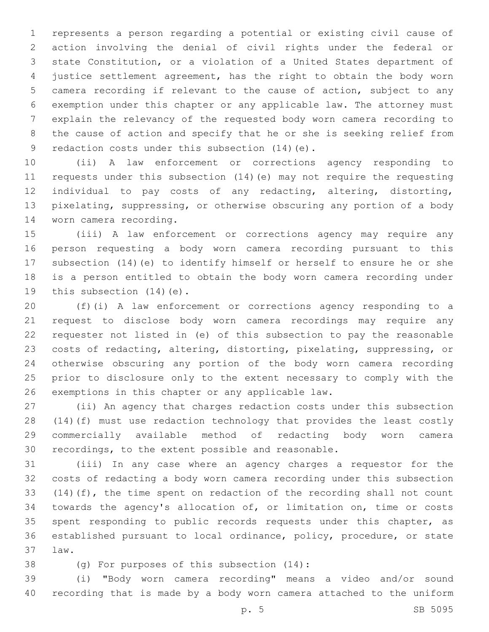represents a person regarding a potential or existing civil cause of action involving the denial of civil rights under the federal or state Constitution, or a violation of a United States department of justice settlement agreement, has the right to obtain the body worn camera recording if relevant to the cause of action, subject to any exemption under this chapter or any applicable law. The attorney must explain the relevancy of the requested body worn camera recording to the cause of action and specify that he or she is seeking relief from 9 redaction costs under this subsection (14) (e).

 (ii) A law enforcement or corrections agency responding to requests under this subsection (14)(e) may not require the requesting individual to pay costs of any redacting, altering, distorting, pixelating, suppressing, or otherwise obscuring any portion of a body 14 worn camera recording.

 (iii) A law enforcement or corrections agency may require any person requesting a body worn camera recording pursuant to this subsection (14)(e) to identify himself or herself to ensure he or she is a person entitled to obtain the body worn camera recording under 19 this subsection  $(14)(e)$ .

 (f)(i) A law enforcement or corrections agency responding to a request to disclose body worn camera recordings may require any requester not listed in (e) of this subsection to pay the reasonable costs of redacting, altering, distorting, pixelating, suppressing, or otherwise obscuring any portion of the body worn camera recording prior to disclosure only to the extent necessary to comply with the 26 exemptions in this chapter or any applicable law.

 (ii) An agency that charges redaction costs under this subsection (14)(f) must use redaction technology that provides the least costly commercially available method of redacting body worn camera recordings, to the extent possible and reasonable.

 (iii) In any case where an agency charges a requestor for the costs of redacting a body worn camera recording under this subsection (14)(f), the time spent on redaction of the recording shall not count towards the agency's allocation of, or limitation on, time or costs 35 spent responding to public records requests under this chapter, as established pursuant to local ordinance, policy, procedure, or state law.37

38 (g) For purposes of this subsection (14):

 (i) "Body worn camera recording" means a video and/or sound recording that is made by a body worn camera attached to the uniform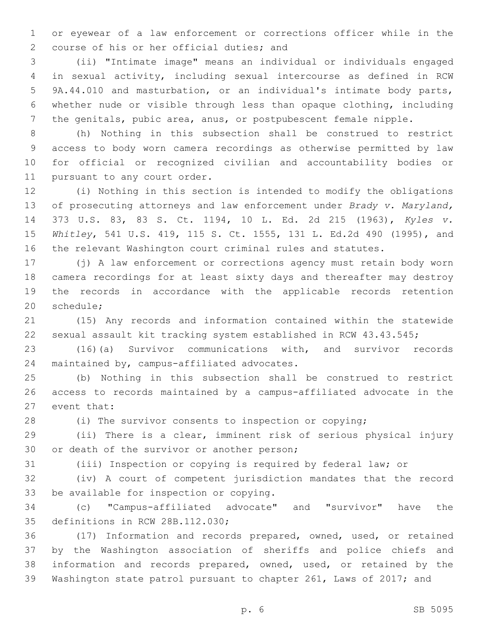or eyewear of a law enforcement or corrections officer while in the 2 course of his or her official duties; and

 (ii) "Intimate image" means an individual or individuals engaged in sexual activity, including sexual intercourse as defined in RCW 9A.44.010 and masturbation, or an individual's intimate body parts, whether nude or visible through less than opaque clothing, including the genitals, pubic area, anus, or postpubescent female nipple.

 (h) Nothing in this subsection shall be construed to restrict access to body worn camera recordings as otherwise permitted by law for official or recognized civilian and accountability bodies or 11 pursuant to any court order.

 (i) Nothing in this section is intended to modify the obligations of prosecuting attorneys and law enforcement under *Brady v. Maryland,*  373 U.S. 83, 83 S. Ct. 1194, 10 L. Ed. 2d 215 (1963), *Kyles v. Whitley*, 541 U.S. 419, 115 S. Ct. 1555, 131 L. Ed.2d 490 (1995), and the relevant Washington court criminal rules and statutes.

 (j) A law enforcement or corrections agency must retain body worn camera recordings for at least sixty days and thereafter may destroy the records in accordance with the applicable records retention 20 schedule:

 (15) Any records and information contained within the statewide sexual assault kit tracking system established in RCW 43.43.545;

 (16)(a) Survivor communications with, and survivor records 24 maintained by, campus-affiliated advocates.

 (b) Nothing in this subsection shall be construed to restrict access to records maintained by a campus-affiliated advocate in the 27 event that:

(i) The survivor consents to inspection or copying;

 (ii) There is a clear, imminent risk of serious physical injury 30 or death of the survivor or another person;

(iii) Inspection or copying is required by federal law; or

 (iv) A court of competent jurisdiction mandates that the record 33 be available for inspection or copying.

 (c) "Campus-affiliated advocate" and "survivor" have the 35 definitions in RCW 28B.112.030;

 (17) Information and records prepared, owned, used, or retained by the Washington association of sheriffs and police chiefs and information and records prepared, owned, used, or retained by the Washington state patrol pursuant to chapter 261, Laws of 2017; and